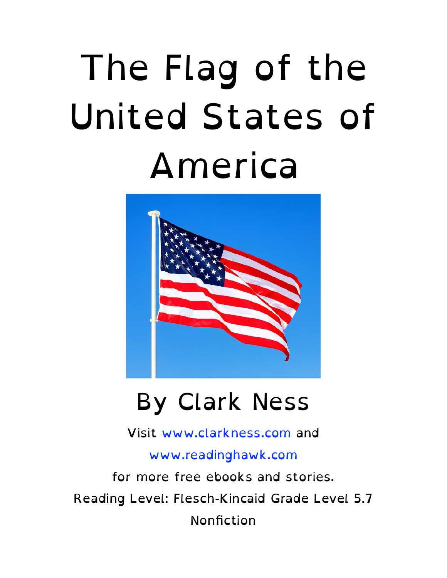#### The Flag of the United States of America



#### By Clark Ness

Visit [www.clarkness.com](http://www.clarkness.com) and

[www.readinghawk.com](http://www.readinghawk.com)

for more free ebooks and stories. Reading Level: Flesch-Kincaid Grade Level 5.7 Nonfiction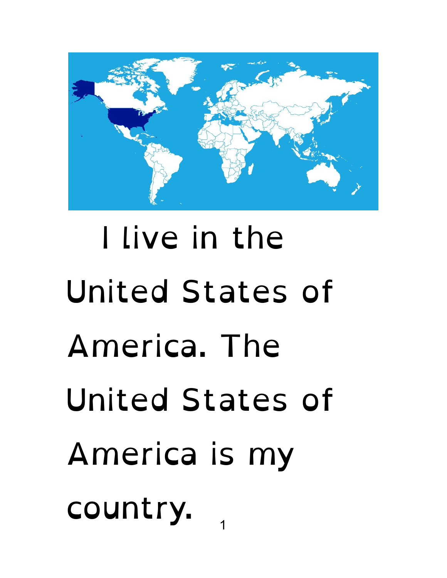

#### I live in the United States of America. The United States of America is my country.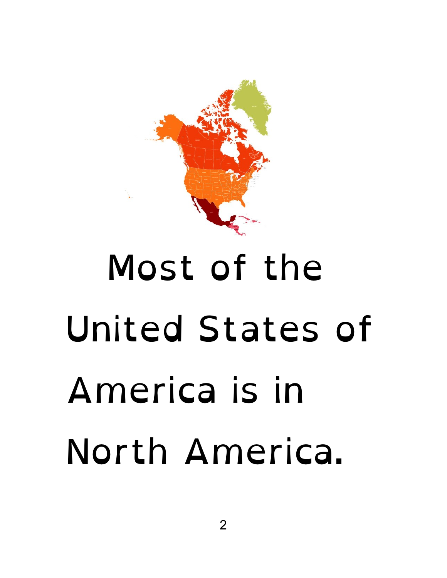

# Most of the United States of America is in North America.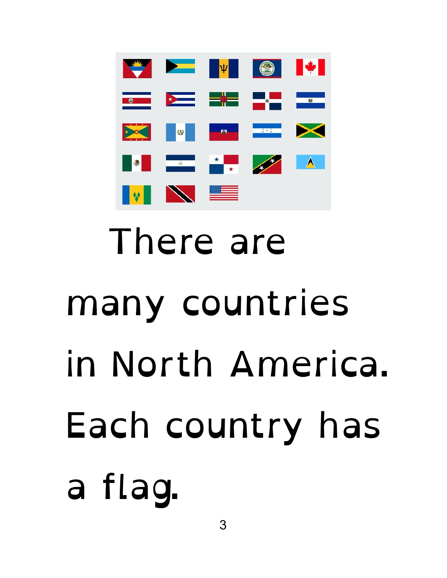

# There are many countries in North America. Each country has a flag.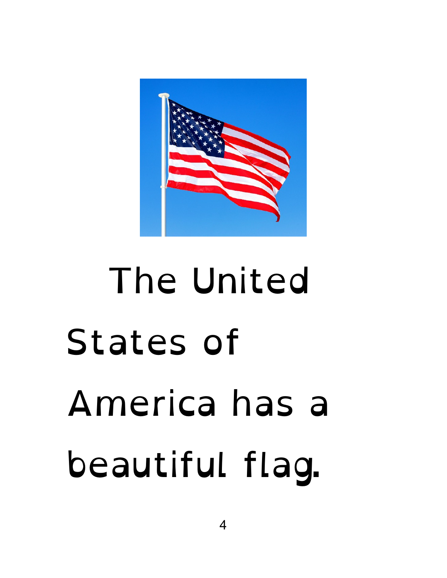

# The United States of America has a beautiful flag.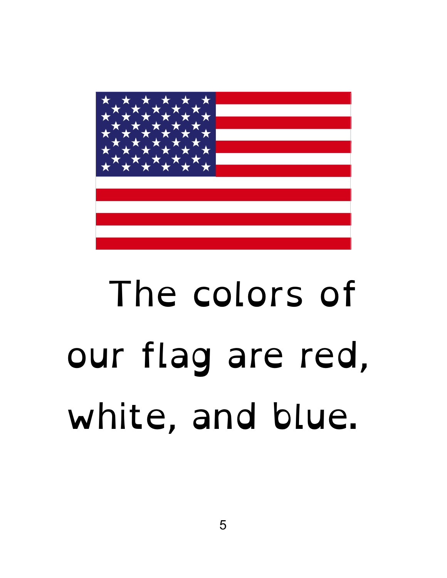

### The colors of our flag are red, white, and blue.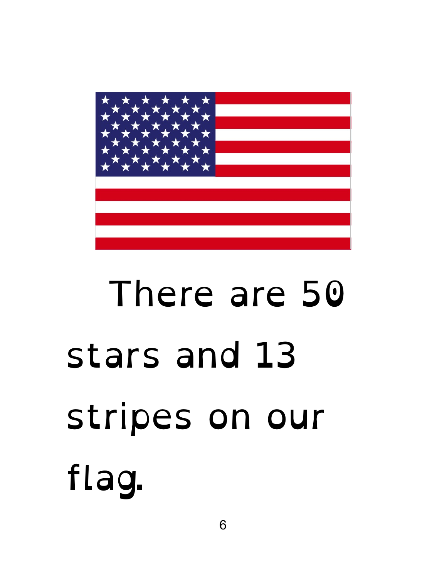

# There are 50 stars and 13 stripes on our flag.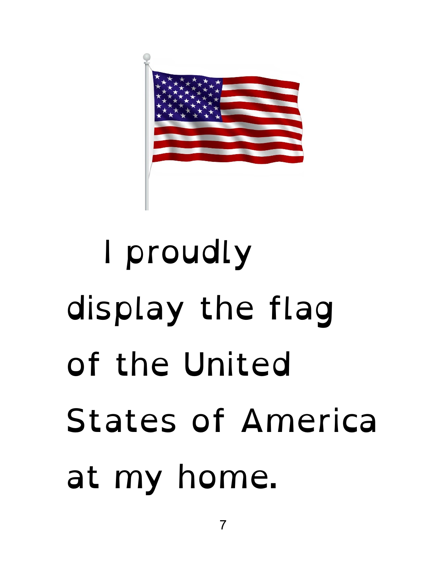

# I proudly display the flag of the United States of America at my home.